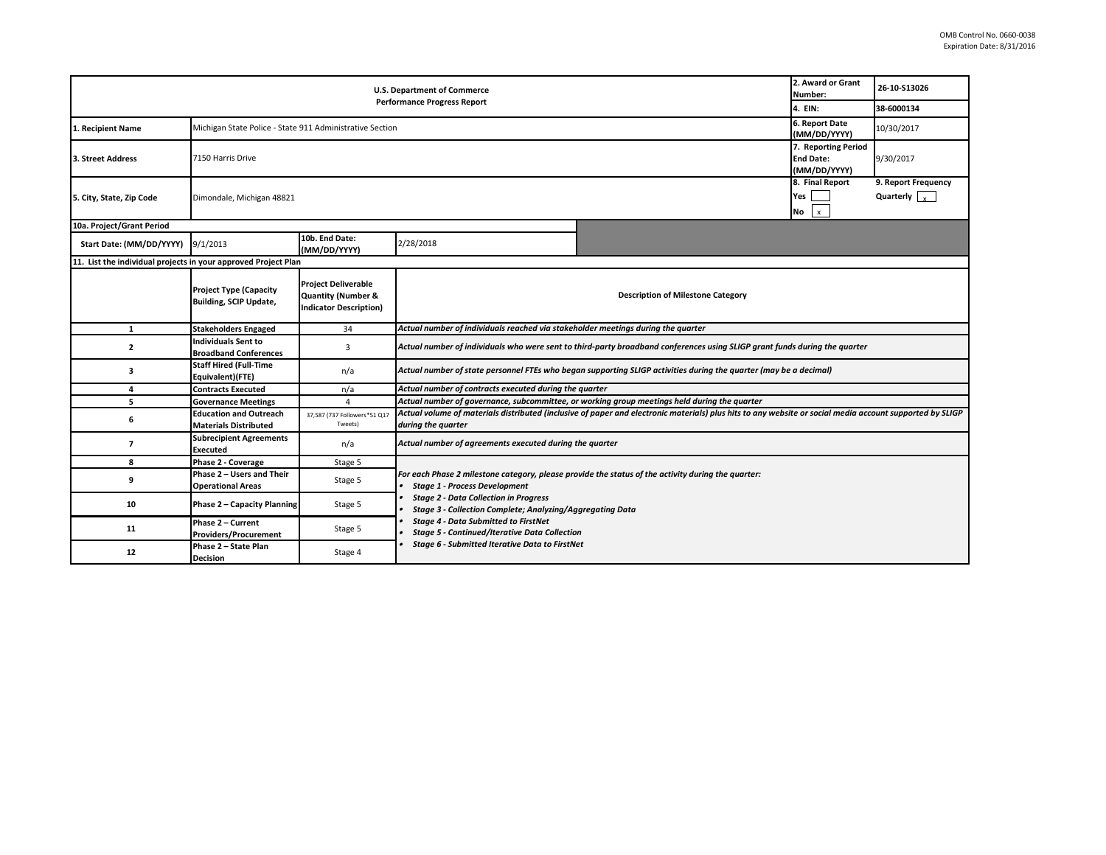| 2. Award or Grant<br><b>U.S. Department of Commerce</b><br>Number:<br><b>Performance Progress Report</b><br>4. EIN: |                                                                                            |                                                                                              |                                                                                                                                                                                                                                                         |  |                                              | 26-10-S13026<br>38-6000134                  |  |  |
|---------------------------------------------------------------------------------------------------------------------|--------------------------------------------------------------------------------------------|----------------------------------------------------------------------------------------------|---------------------------------------------------------------------------------------------------------------------------------------------------------------------------------------------------------------------------------------------------------|--|----------------------------------------------|---------------------------------------------|--|--|
| 1. Recipient Name                                                                                                   | 6. Report Date<br>Michigan State Police - State 911 Administrative Section<br>(MM/DD/YYYY) |                                                                                              |                                                                                                                                                                                                                                                         |  |                                              | 10/30/2017                                  |  |  |
| 3. Street Address                                                                                                   | 7. Reporting Period<br>7150 Harris Drive<br><b>End Date:</b><br>(MM/DD/YYYY)               |                                                                                              |                                                                                                                                                                                                                                                         |  |                                              | 9/30/2017                                   |  |  |
| 5. City, State, Zip Code                                                                                            | Dimondale, Michigan 48821                                                                  |                                                                                              |                                                                                                                                                                                                                                                         |  | 8. Final Report<br>Yes<br>No<br>$\pmb{\chi}$ | 9. Report Frequency<br>Quarterly $\sqrt{ }$ |  |  |
| 10a. Project/Grant Period                                                                                           |                                                                                            |                                                                                              |                                                                                                                                                                                                                                                         |  |                                              |                                             |  |  |
| Start Date: (MM/DD/YYYY)                                                                                            | 9/1/2013                                                                                   | 10b. End Date:<br>(MM/DD/YYYY)                                                               | 2/28/2018                                                                                                                                                                                                                                               |  |                                              |                                             |  |  |
| 11. List the individual projects in your approved Project Plan                                                      |                                                                                            |                                                                                              |                                                                                                                                                                                                                                                         |  |                                              |                                             |  |  |
|                                                                                                                     | <b>Project Type (Capacity</b><br><b>Building, SCIP Update,</b>                             | <b>Project Deliverable</b><br><b>Quantity (Number &amp;</b><br><b>Indicator Description)</b> | <b>Description of Milestone Category</b>                                                                                                                                                                                                                |  |                                              |                                             |  |  |
| 1                                                                                                                   | <b>Stakeholders Engaged</b>                                                                | 34                                                                                           | Actual number of individuals reached via stakeholder meetings during the quarter                                                                                                                                                                        |  |                                              |                                             |  |  |
| $\overline{2}$                                                                                                      | Individuals Sent to<br><b>Broadband Conferences</b>                                        | 3                                                                                            | Actual number of individuals who were sent to third-party broadband conferences using SLIGP grant funds during the quarter                                                                                                                              |  |                                              |                                             |  |  |
| 3                                                                                                                   | <b>Staff Hired (Full-Time</b><br>Equivalent)(FTE)                                          | n/a                                                                                          | Actual number of state personnel FTEs who began supporting SLIGP activities during the quarter (may be a decimal)                                                                                                                                       |  |                                              |                                             |  |  |
| 4                                                                                                                   | <b>Contracts Executed</b>                                                                  | n/a                                                                                          | Actual number of contracts executed during the quarter                                                                                                                                                                                                  |  |                                              |                                             |  |  |
| 5                                                                                                                   | <b>Governance Meetings</b>                                                                 | $\Delta$                                                                                     | Actual number of governance, subcommittee, or working group meetings held during the quarter                                                                                                                                                            |  |                                              |                                             |  |  |
| 6                                                                                                                   | <b>Education and Outreach</b><br><b>Materials Distributed</b>                              | 37,587 (737 Followers*51 Q17<br>Tweets)                                                      | Actual volume of materials distributed (inclusive of paper and electronic materials) plus hits to any website or social media account supported by SLIGP<br>during the quarter                                                                          |  |                                              |                                             |  |  |
| $\overline{7}$                                                                                                      | <b>Subrecipient Agreements</b><br><b>Executed</b>                                          | n/a                                                                                          | Actual number of agreements executed during the quarter                                                                                                                                                                                                 |  |                                              |                                             |  |  |
| 8                                                                                                                   | Phase 2 - Coverage                                                                         | Stage 5                                                                                      |                                                                                                                                                                                                                                                         |  |                                              |                                             |  |  |
| 9                                                                                                                   | Phase 2 - Users and Their<br><b>Operational Areas</b>                                      | Stage 5                                                                                      | For each Phase 2 milestone category, please provide the status of the activity during the quarter:<br><b>Stage 1 - Process Development</b><br><b>Stage 2 - Data Collection in Progress</b><br>Stage 3 - Collection Complete; Analyzing/Aggregating Data |  |                                              |                                             |  |  |
| 10                                                                                                                  | <b>Phase 2 - Capacity Planning</b>                                                         | Stage 5                                                                                      |                                                                                                                                                                                                                                                         |  |                                              |                                             |  |  |
| 11                                                                                                                  | Phase 2 - Current<br><b>Providers/Procurement</b>                                          | Stage 5                                                                                      | <b>Stage 4 - Data Submitted to FirstNet</b><br><b>Stage 5 - Continued/Iterative Data Collection</b><br>Stage 6 - Submitted Iterative Data to FirstNet                                                                                                   |  |                                              |                                             |  |  |
| 12                                                                                                                  | Phase 2 - State Plan<br><b>Decision</b>                                                    | Stage 4                                                                                      |                                                                                                                                                                                                                                                         |  |                                              |                                             |  |  |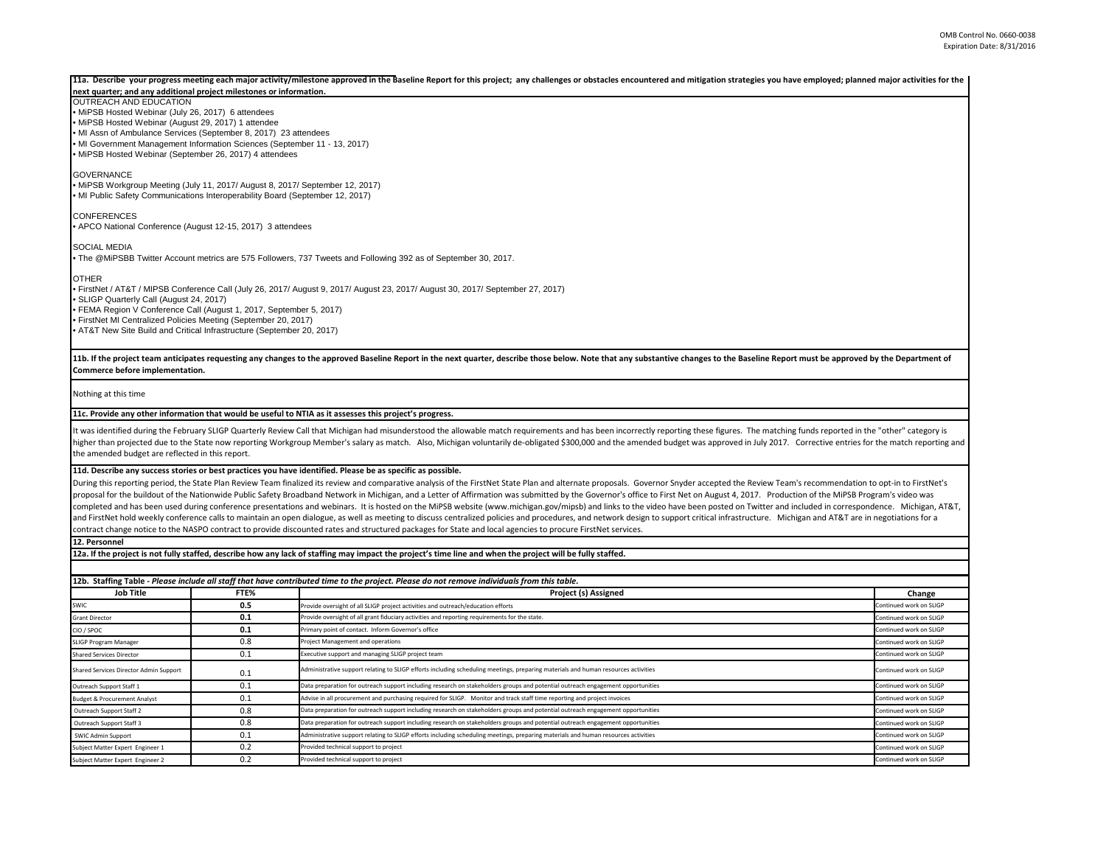## 11a. Describe your progress meeting each major activity/milestone approved in the Baseline Report for this project; any challenges or obstacles encountered and mitigation strategies you have employed; planned major activit

## **next quarter; and any additional project milestones or information.**

OUTREACH AND EDUCATION • MiPSB Hosted Webinar (July 26, 2017) 6 attendees

• MiPSB Hosted Webinar (August 29, 2017) 1 attendee

• MI Assn of Ambulance Services (September 8, 2017) 23 attendees

• MI Government Management Information Sciences (September 11 - 13, 2017)

• MiPSB Hosted Webinar (September 26, 2017) 4 attendees

**GOVERNANCE** 

• MiPSB Workgroup Meeting (July 11, 2017/ August 8, 2017/ September 12, 2017) • MI Public Safety Communications Interoperability Board (September 12, 2017)

CONFERENCES • APCO National Conference (August 12-15, 2017) 3 attendees

SOCIAL MEDIA

• The @MiPSBB Twitter Account metrics are 575 Followers, 737 Tweets and Following 392 as of September 30, 2017.

OTHER

• FirstNet / AT&T / MIPSB Conference Call (July 26, 2017/ August 9, 2017/ August 23, 2017/ August 30, 2017/ September 27, 2017) • SLIGP Quarterly Call (August 24, 2017) • FEMA Region V Conference Call (August 1, 2017, September 5, 2017) • FirstNet MI Centralized Policies Meeting (September 20, 2017) • AT&T New Site Build and Critical Infrastructure (September 20, 2017)

11b. If the project team anticipates requesting any changes to the approved Baseline Report in the next quarter, describe those below. Note that any substantive changes to the Baseline Report must be approved by the Depart **Commerce before implementation.** 

Nothing at this time

## **11c. Provide any other information that would be useful to NTIA as it assesses this project's progress.**

It was identified during the February SLIGP Quarterly Review Call that Michigan had misunderstood the allowable match requirements and has been incorrectly reporting these figures. The matching funds reported in the "other higher than projected due to the State now reporting Workgroup Member's salary as match. Also, Michigan voluntarily de-obligated \$300,000 and the amended budget was approved in July 2017. Corrective entries for the match r the amended budget are reflected in this report.

## **11d. Describe any success stories or best practices you have identified. Please be as specific as possible.**

During this reporting period, the State Plan Review Team finalized its review and comparative analysis of the FirstNet State Plan and alternate proposals. Governor Snyder accepted the Review Team's recommendation to opt-in proposal for the buildout of the Nationwide Public Safety Broadband Network in Michigan, and a Letter of Affirmation was submitted by the Governor's office to First Net on August 4, 2017. Production of the MiPSB Program's completed and has been used during conference presentations and webinars. It is hosted on the MiPSB website (www.michigan.gov/mipsb) and links to the video have been posted on Twitter and included in correspondence. Michig and FirstNet hold weekly conference calls to maintain an open dialogue, as well as meeting to discuss centralized policies and procedures, and network design to support critical infrastructure. Michigan and AT&T are in neg contract change notice to the NASPO contract to provide discounted rates and structured packages for State and local agencies to procure FirstNet services.

**12. Personnel** 

**12a. If the project is not fully staffed, describe how any lack of staffing may impact the project's time line and when the project will be fully staffed.**

| 12b. Staffing Table - Please include all staff that have contributed time to the project. Please do not remove individuals from this table. |      |                                                                                                                                    |                         |  |  |  |
|---------------------------------------------------------------------------------------------------------------------------------------------|------|------------------------------------------------------------------------------------------------------------------------------------|-------------------------|--|--|--|
| Job Title                                                                                                                                   | FTE% | Project (s) Assigned                                                                                                               |                         |  |  |  |
| SWIC                                                                                                                                        | 0.5  | Provide oversight of all SLIGP project activities and outreach/education efforts                                                   | Continued work on SLIGP |  |  |  |
| <b>Grant Director</b>                                                                                                                       | 0.1  | Provide oversight of all grant fiduciary activities and reporting requirements for the state.                                      | Continued work on SLIGP |  |  |  |
| CIO / SPOC                                                                                                                                  | 0.1  | Primary point of contact. Inform Governor's office                                                                                 | Continued work on SLIGP |  |  |  |
| SLIGP Program Manager                                                                                                                       | 0.8  | Project Management and operations                                                                                                  | Continued work on SLIGP |  |  |  |
| <b>Shared Services Director</b>                                                                                                             | 0.1  | Executive support and managing SLIGP project team                                                                                  | Continued work on SLIGP |  |  |  |
| Shared Services Director Admin Support                                                                                                      | 0.1  | Administrative support relating to SLIGP efforts including scheduling meetings, preparing materials and human resources activities | Continued work on SLIGP |  |  |  |
| Outreach Support Staff 1                                                                                                                    | 0.1  | Data preparation for outreach support including research on stakeholders groups and potential outreach engagement opportunities    | Continued work on SLIGP |  |  |  |
| <b>Budget &amp; Procurement Analyst</b>                                                                                                     | 0.1  | Advise in all procurement and purchasing required for SLIGP. Monitor and track staff time reporting and project invoices           | Continued work on SLIGP |  |  |  |
| Outreach Support Staff 2                                                                                                                    | 0.8  | Data preparation for outreach support including research on stakeholders groups and potential outreach engagement opportunities    | Continued work on SLIGP |  |  |  |
| Outreach Support Staff 3                                                                                                                    | 0.8  | Data preparation for outreach support including research on stakeholders groups and potential outreach engagement opportunities    | Continued work on SLIGP |  |  |  |
| SWIC Admin Support                                                                                                                          | 0.1  | Administrative support relating to SLIGP efforts including scheduling meetings, preparing materials and human resources activities | Continued work on SLIGP |  |  |  |
| Subject Matter Expert Engineer 1                                                                                                            | 0.2  | Provided technical support to project                                                                                              | Continued work on SLIGP |  |  |  |
| Subject Matter Expert Engineer 2                                                                                                            | 0.2  | Provided technical support to project                                                                                              | Continued work on SLIGP |  |  |  |